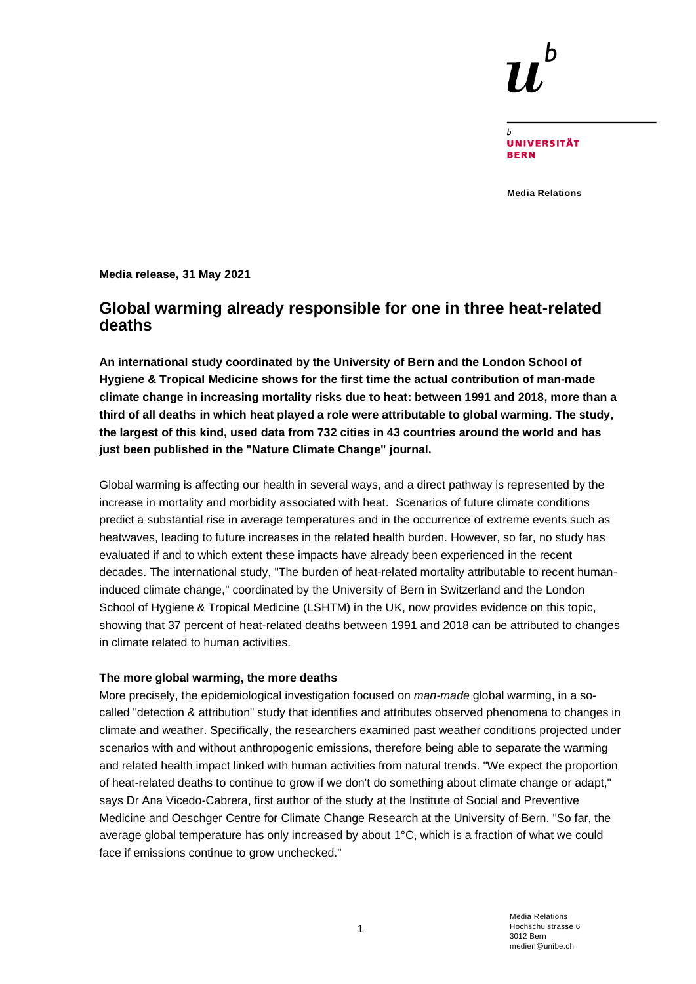**UNIVERSITÄT RFRN** 

**Media Relations**

**Media release, 31 May 2021**

# **Global warming already responsible for one in three heat-related deaths**

**An international study coordinated by the University of Bern and the London School of Hygiene & Tropical Medicine shows for the first time the actual contribution of man-made climate change in increasing mortality risks due to heat: between 1991 and 2018, more than a third of all deaths in which heat played a role were attributable to global warming. The study, the largest of this kind, used data from 732 cities in 43 countries around the world and has just been published in the "Nature Climate Change" journal.**

Global warming is affecting our health in several ways, and a direct pathway is represented by the increase in mortality and morbidity associated with heat. Scenarios of future climate conditions predict a substantial rise in average temperatures and in the occurrence of extreme events such as heatwaves, leading to future increases in the related health burden. However, so far, no study has evaluated if and to which extent these impacts have already been experienced in the recent decades. The international study, "The burden of heat-related mortality attributable to recent humaninduced climate change," coordinated by the University of Bern in Switzerland and the London School of Hygiene & Tropical Medicine (LSHTM) in the UK, now provides evidence on this topic, showing that 37 percent of heat-related deaths between 1991 and 2018 can be attributed to changes in climate related to human activities.

# **The more global warming, the more deaths**

More precisely, the epidemiological investigation focused on *man-made* global warming, in a socalled "detection & attribution" study that identifies and attributes observed phenomena to changes in climate and weather. Specifically, the researchers examined past weather conditions projected under scenarios with and without anthropogenic emissions, therefore being able to separate the warming and related health impact linked with human activities from natural trends. "We expect the proportion of heat-related deaths to continue to grow if we don't do something about climate change or adapt," says Dr Ana Vicedo-Cabrera, first author of the study at the Institute of Social and Preventive Medicine and Oeschger Centre for Climate Change Research at the University of Bern. "So far, the average global temperature has only increased by about 1°C, which is a fraction of what we could face if emissions continue to grow unchecked."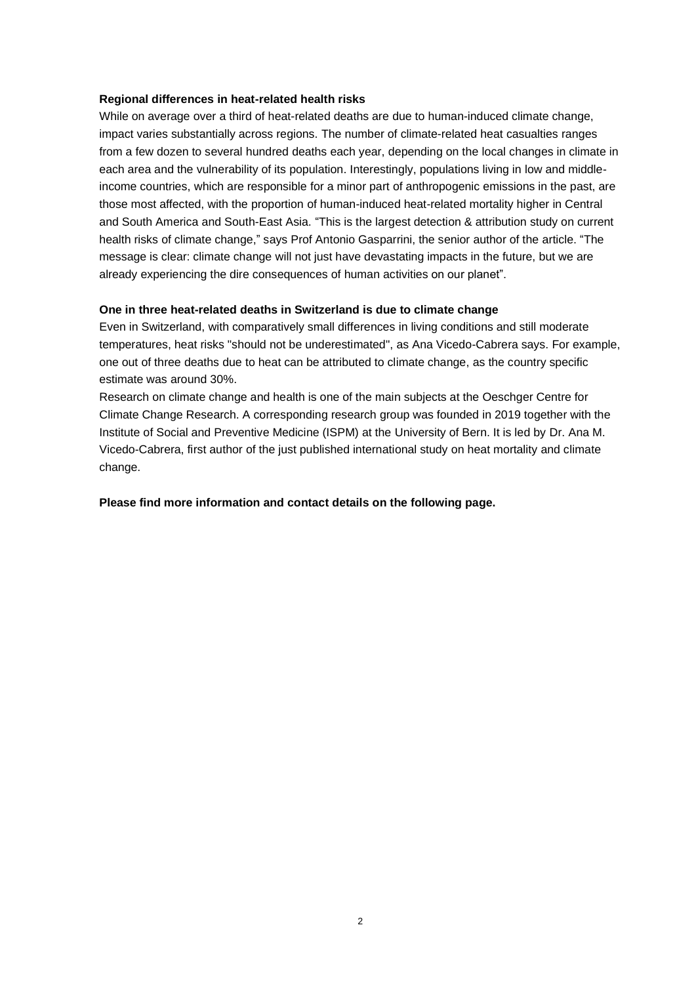#### **Regional differences in heat-related health risks**

While on average over a third of heat-related deaths are due to human-induced climate change, impact varies substantially across regions. The number of climate-related heat casualties ranges from a few dozen to several hundred deaths each year, depending on the local changes in climate in each area and the vulnerability of its population. Interestingly, populations living in low and middleincome countries, which are responsible for a minor part of anthropogenic emissions in the past, are those most affected, with the proportion of human-induced heat-related mortality higher in Central and South America and South-East Asia. "This is the largest detection & attribution study on current health risks of climate change," says Prof Antonio Gasparrini, the senior author of the article. "The message is clear: climate change will not just have devastating impacts in the future, but we are already experiencing the dire consequences of human activities on our planet".

### **One in three heat-related deaths in Switzerland is due to climate change**

Even in Switzerland, with comparatively small differences in living conditions and still moderate temperatures, heat risks "should not be underestimated", as Ana Vicedo-Cabrera says. For example, one out of three deaths due to heat can be attributed to climate change, as the country specific estimate was around 30%.

Research on climate change and health is one of the main subjects at the Oeschger Centre for Climate Change Research. A corresponding research group was founded in 2019 together with the Institute of Social and Preventive Medicine (ISPM) at the University of Bern. It is led by Dr. Ana M. Vicedo-Cabrera, first author of the just published international study on heat mortality and climate change.

#### **Please find more information and contact details on the following page.**